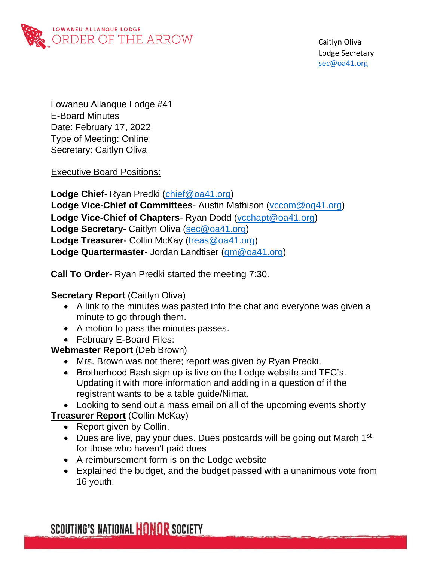

 Caitlyn Oliva Lodge Secretary sec@oa41.org

Lowaneu Allanque Lodge #41 E-Board Minutes Date: February 17, 2022 Type of Meeting: Online Secretary: Caitlyn Oliva

Executive Board Positions:

**Lodge Chief**- Ryan Predki [\(chief@oa41.org\)](mailto:chief@oa41.org) **Lodge Vice-Chief of Committees**- Austin Mathison [\(vccom@oq41.org\)](mailto:vccom@oq41.org) **Lodge Vice-Chief of Chapters**- Ryan Dodd [\(vcchapt@oa41.org\)](mailto:vcchapt@oa41.org) **Lodge Secretary**- Caitlyn Oliva [\(sec@oa41.org\)](mailto:sec@oa41.org) **Lodge Treasurer**- Collin McKay [\(treas@oa41.org\)](mailto:treas@oa41.org) **Lodge Quartermaster**- Jordan Landtiser [\(qm@oa41.org\)](mailto:qm@oa41.org)

**Call To Order-** Ryan Predki started the meeting 7:30.

### **Secretary Report** (Caitlyn Oliva)

- A link to the minutes was pasted into the chat and everyone was given a minute to go through them.
- A motion to pass the minutes passes.
- February E-Board Files:

**Webmaster Report** (Deb Brown)

- Mrs. Brown was not there; report was given by Ryan Predki.
- Brotherhood Bash sign up is live on the Lodge website and TFC's. Updating it with more information and adding in a question of if the registrant wants to be a table guide/Nimat.

• Looking to send out a mass email on all of the upcoming events shortly **Treasurer Report** (Collin McKay)

- Report given by Collin.
- Dues are live, pay your dues. Dues postcards will be going out March  $1<sup>st</sup>$ for those who haven't paid dues
- A reimbursement form is on the Lodge website
- Explained the budget, and the budget passed with a unanimous vote from 16 youth.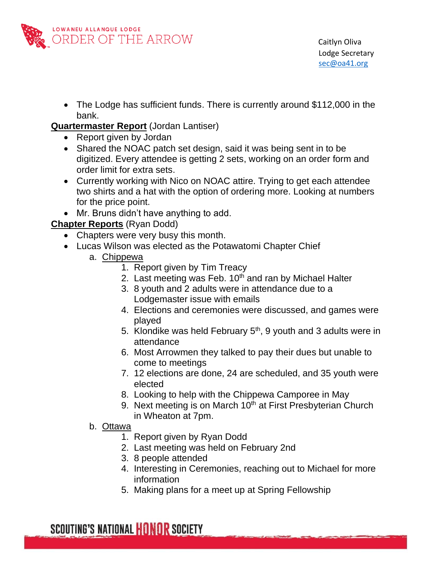

• The Lodge has sufficient funds. There is currently around \$112,000 in the bank.

#### **Quartermaster Report** (Jordan Lantiser)

- Report given by Jordan
- Shared the NOAC patch set design, said it was being sent in to be digitized. Every attendee is getting 2 sets, working on an order form and order limit for extra sets.
- Currently working with Nico on NOAC attire. Trying to get each attendee two shirts and a hat with the option of ordering more. Looking at numbers for the price point.
- Mr. Bruns didn't have anything to add.

# **Chapter Reports** (Ryan Dodd)

- Chapters were very busy this month.
- Lucas Wilson was elected as the Potawatomi Chapter Chief
	- a. Chippewa
		- 1. Report given by Tim Treacy
		- 2. Last meeting was Feb.  $10<sup>th</sup>$  and ran by Michael Halter
		- 3. 8 youth and 2 adults were in attendance due to a Lodgemaster issue with emails
		- 4. Elections and ceremonies were discussed, and games were played
		- 5. Klondike was held February  $5<sup>th</sup>$ , 9 youth and 3 adults were in attendance
		- 6. Most Arrowmen they talked to pay their dues but unable to come to meetings
		- 7. 12 elections are done, 24 are scheduled, and 35 youth were elected
		- 8. Looking to help with the Chippewa Camporee in May
		- 9. Next meeting is on March  $10<sup>th</sup>$  at First Presbyterian Church in Wheaton at 7pm.
	- b. Ottawa
		- 1. Report given by Ryan Dodd
		- 2. Last meeting was held on February 2nd
		- 3. 8 people attended
		- 4. Interesting in Ceremonies, reaching out to Michael for more information
		- 5. Making plans for a meet up at Spring Fellowship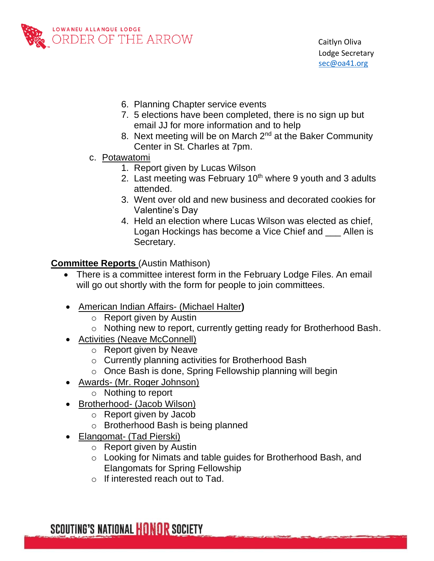

- 6. Planning Chapter service events
- 7. 5 elections have been completed, there is no sign up but email JJ for more information and to help
- 8. Next meeting will be on March 2<sup>nd</sup> at the Baker Community Center in St. Charles at 7pm.
- c. Potawatomi
	- 1. Report given by Lucas Wilson
	- 2. Last meeting was February  $10<sup>th</sup>$  where 9 youth and 3 adults attended.
	- 3. Went over old and new business and decorated cookies for Valentine's Day
	- 4. Held an election where Lucas Wilson was elected as chief, Logan Hockings has become a Vice Chief and \_\_\_ Allen is Secretary.

#### **Committee Reports** (Austin Mathison)

- There is a committee interest form in the February Lodge Files. An email will go out shortly with the form for people to join committees.
- American Indian Affairs- (Michael Halter**)**
	- o Report given by Austin
	- o Nothing new to report, currently getting ready for Brotherhood Bash.
- Activities (Neave McConnell)
	- o Report given by Neave
	- o Currently planning activities for Brotherhood Bash
	- o Once Bash is done, Spring Fellowship planning will begin
- Awards- (Mr. Roger Johnson)
	- o Nothing to report
- Brotherhood- (Jacob Wilson)
	- o Report given by Jacob
	- o Brotherhood Bash is being planned
- Elangomat- (Tad Pierski)
	- o Report given by Austin
	- o Looking for Nimats and table guides for Brotherhood Bash, and Elangomats for Spring Fellowship
	- o If interested reach out to Tad.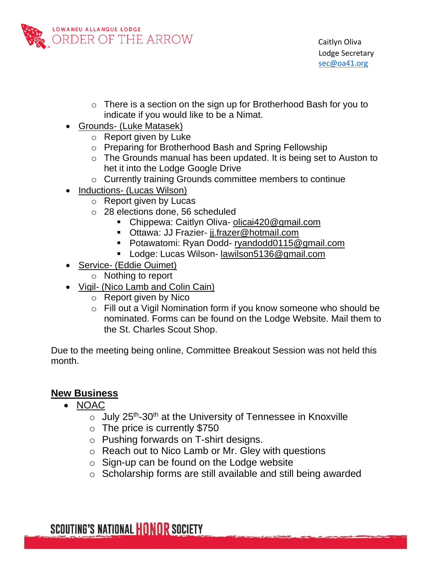

- o There is a section on the sign up for Brotherhood Bash for you to indicate if you would like to be a Nimat.
- Grounds- (Luke Matasek)
	- o Report given by Luke
	- o Preparing for Brotherhood Bash and Spring Fellowship
	- o The Grounds manual has been updated. It is being set to Auston to het it into the Lodge Google Drive
	- o Currently training Grounds committee members to continue
- Inductions- (Lucas Wilson)
	- o Report given by Lucas
	- o 28 elections done, 56 scheduled
		- Chippewa: Caitlyn Oliva- [olicai420@gmail.com](mailto:olicai420@gmail.com)
		- **Ottawa: JJ Frazier- [jj.frazer@hotmail.com](mailto:jj.frazer@hotmail.com)**
		- Potawatomi: Ryan Dodd- [ryandodd0115@gmail.com](mailto:ryandodd0115@gmail.com)
		- Lodge: Lucas Wilson- [lawilson5136@gmail.com](mailto:lawilson5136@gmail.com)
- Service- (Eddie Ouimet)
	- o Nothing to report
- Vigil- (Nico Lamb and Colin Cain)
	- o Report given by Nico
	- o Fill out a Vigil Nomination form if you know someone who should be nominated. Forms can be found on the Lodge Website. Mail them to the St. Charles Scout Shop.

Due to the meeting being online, Committee Breakout Session was not held this month.

# **New Business**

- NOAC
	- $\circ$  July 25<sup>th</sup>-30<sup>th</sup> at the University of Tennessee in Knoxville
	- $\circ$  The price is currently \$750
	- o Pushing forwards on T-shirt designs.
	- o Reach out to Nico Lamb or Mr. Gley with questions
	- $\circ$  Sign-up can be found on the Lodge website
	- o Scholarship forms are still available and still being awarded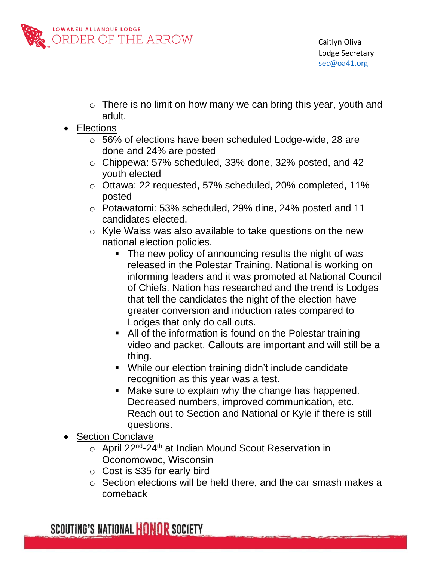

- o There is no limit on how many we can bring this year, youth and adult.
- Elections
	- o 56% of elections have been scheduled Lodge-wide, 28 are done and 24% are posted
	- o Chippewa: 57% scheduled, 33% done, 32% posted, and 42 youth elected
	- o Ottawa: 22 requested, 57% scheduled, 20% completed, 11% posted
	- o Potawatomi: 53% scheduled, 29% dine, 24% posted and 11 candidates elected.
	- o Kyle Waiss was also available to take questions on the new national election policies.
		- The new policy of announcing results the night of was released in the Polestar Training. National is working on informing leaders and it was promoted at National Council of Chiefs. Nation has researched and the trend is Lodges that tell the candidates the night of the election have greater conversion and induction rates compared to Lodges that only do call outs.
		- All of the information is found on the Polestar training video and packet. Callouts are important and will still be a thing.
		- While our election training didn't include candidate recognition as this year was a test.
		- Make sure to explain why the change has happened. Decreased numbers, improved communication, etc. Reach out to Section and National or Kyle if there is still questions.
- Section Conclave
	- $\circ$  April 22<sup>nd</sup>-24<sup>th</sup> at Indian Mound Scout Reservation in Oconomowoc, Wisconsin
	- o Cost is \$35 for early bird
	- o Section elections will be held there, and the car smash makes a comeback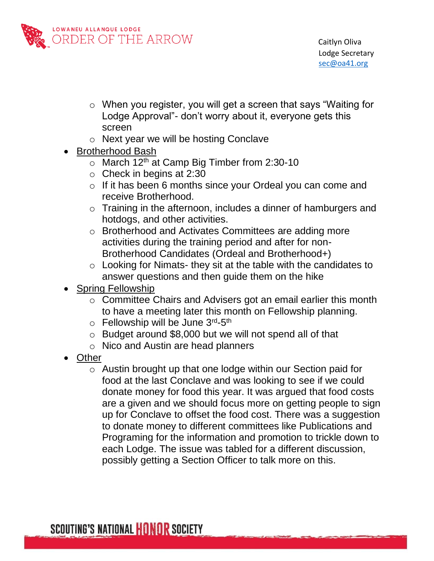

- o When you register, you will get a screen that says "Waiting for Lodge Approval"- don't worry about it, everyone gets this screen
- o Next year we will be hosting Conclave
- Brotherhood Bash
	- o March 12<sup>th</sup> at Camp Big Timber from 2:30-10
	- $\circ$  Check in begins at 2:30
	- o If it has been 6 months since your Ordeal you can come and receive Brotherhood.
	- o Training in the afternoon, includes a dinner of hamburgers and hotdogs, and other activities.
	- o Brotherhood and Activates Committees are adding more activities during the training period and after for non-Brotherhood Candidates (Ordeal and Brotherhood+)
	- o Looking for Nimats- they sit at the table with the candidates to answer questions and then guide them on the hike
- Spring Fellowship
	- o Committee Chairs and Advisers got an email earlier this month to have a meeting later this month on Fellowship planning.
	- o Fellowship will be June 3rd-5th
	- o Budget around \$8,000 but we will not spend all of that
	- o Nico and Austin are head planners
- Other
	- o Austin brought up that one lodge within our Section paid for food at the last Conclave and was looking to see if we could donate money for food this year. It was argued that food costs are a given and we should focus more on getting people to sign up for Conclave to offset the food cost. There was a suggestion to donate money to different committees like Publications and Programing for the information and promotion to trickle down to each Lodge. The issue was tabled for a different discussion, possibly getting a Section Officer to talk more on this.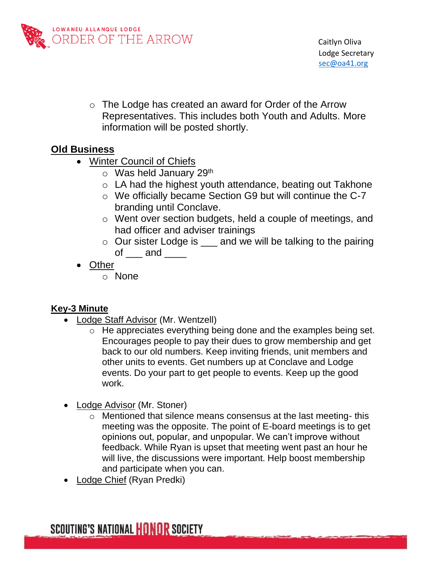

o The Lodge has created an award for Order of the Arrow Representatives. This includes both Youth and Adults. More information will be posted shortly.

# **Old Business**

- Winter Council of Chiefs
	- $\circ$  Was held January 29<sup>th</sup>
	- o LA had the highest youth attendance, beating out Takhone
	- o We officially became Section G9 but will continue the C-7 branding until Conclave.
	- o Went over section budgets, held a couple of meetings, and had officer and adviser trainings
	- o Our sister Lodge is \_\_\_ and we will be talking to the pairing of and
- **Other** 
	- o None

### **Key-3 Minute**

- Lodge Staff Advisor (Mr. Wentzell)
	- o He appreciates everything being done and the examples being set. Encourages people to pay their dues to grow membership and get back to our old numbers. Keep inviting friends, unit members and other units to events. Get numbers up at Conclave and Lodge events. Do your part to get people to events. Keep up the good work.
- Lodge Advisor (Mr. Stoner)
	- o Mentioned that silence means consensus at the last meeting- this meeting was the opposite. The point of E-board meetings is to get opinions out, popular, and unpopular. We can't improve without feedback. While Ryan is upset that meeting went past an hour he will live, the discussions were important. Help boost membership and participate when you can.
- Lodge Chief (Ryan Predki)